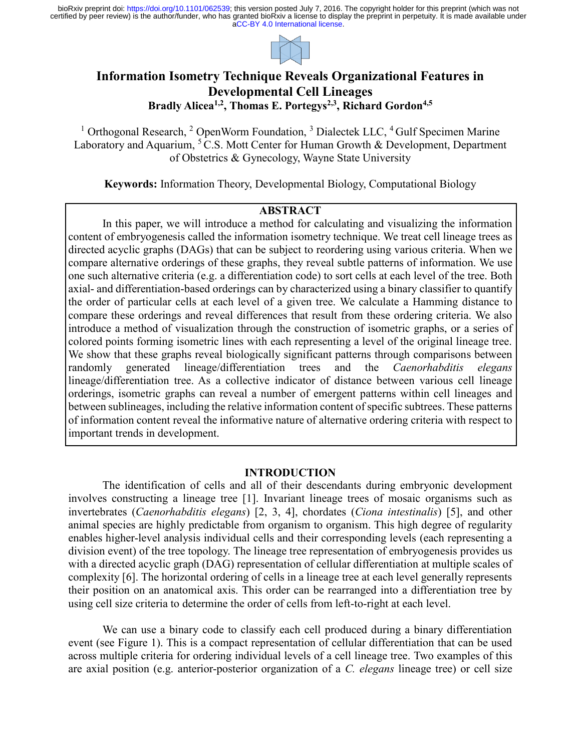

# **Information Isometry Technique Reveals Organizational Features in Developmental Cell Lineages Bradly Alicea1,2 , Thomas E. Portegys2,3 , Richard Gordon4,5**

<sup>1</sup> Orthogonal Research, <sup>2</sup> OpenWorm Foundation, <sup>3</sup> Dialectek LLC, <sup>4</sup> Gulf Specimen Marine Laboratory and Aquarium,  $5\text{ C.S.}$  Mott Center for Human Growth & Development, Department of Obstetrics & Gynecology, Wayne State University

**Keywords:** Information Theory, Developmental Biology, Computational Biology

## **ABSTRACT**

In this paper, we will introduce a method for calculating and visualizing the information content of embryogenesis called the information isometry technique. We treat cell lineage trees as directed acyclic graphs (DAGs) that can be subject to reordering using various criteria. When we compare alternative orderings of these graphs, they reveal subtle patterns of information. We use one such alternative criteria (e.g. a differentiation code) to sort cells at each level of the tree. Both axial- and differentiation-based orderings can by characterized using a binary classifier to quantify the order of particular cells at each level of a given tree. We calculate a Hamming distance to compare these orderings and reveal differences that result from these ordering criteria. We also introduce a method of visualization through the construction of isometric graphs, or a series of colored points forming isometric lines with each representing a level of the original lineage tree. We show that these graphs reveal biologically significant patterns through comparisons between randomly generated lineage/differentiation trees and the *Caenorhabditis elegans* lineage/differentiation tree. As a collective indicator of distance between various cell lineage orderings, isometric graphs can reveal a number of emergent patterns within cell lineages and between sublineages, including the relative information content of specific subtrees. These patterns of information content reveal the informative nature of alternative ordering criteria with respect to important trends in development.

## **INTRODUCTION**

The identification of cells and all of their descendants during embryonic development involves constructing a lineage tree [1]. Invariant lineage trees of mosaic organisms such as invertebrates (*Caenorhabditis elegans*) [2, 3, 4], chordates (*Ciona intestinalis*) [5], and other animal species are highly predictable from organism to organism. This high degree of regularity enables higher-level analysis individual cells and their corresponding levels (each representing a division event) of the tree topology. The lineage tree representation of embryogenesis provides us with a directed acyclic graph (DAG) representation of cellular differentiation at multiple scales of complexity [6]. The horizontal ordering of cells in a lineage tree at each level generally represents their position on an anatomical axis. This order can be rearranged into a differentiation tree by using cell size criteria to determine the order of cells from left-to-right at each level.

We can use a binary code to classify each cell produced during a binary differentiation event (see Figure 1). This is a compact representation of cellular differentiation that can be used across multiple criteria for ordering individual levels of a cell lineage tree. Two examples of this are axial position (e.g. anterior-posterior organization of a *C. elegans* lineage tree) or cell size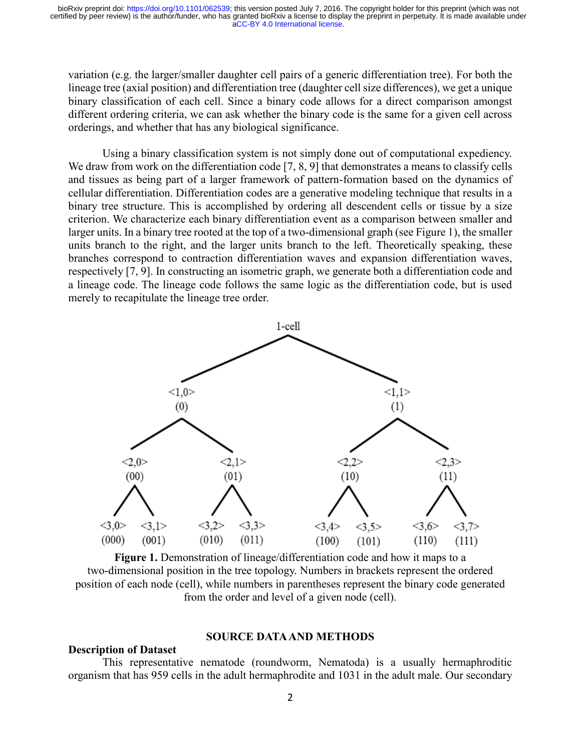variation (e.g. the larger/smaller daughter cell pairs of a generic differentiation tree). For both the lineage tree (axial position) and differentiation tree (daughter cell size differences), we get a unique binary classification of each cell. Since a binary code allows for a direct comparison amongst different ordering criteria, we can ask whether the binary code is the same for a given cell across orderings, and whether that has any biological significance.

Using a binary classification system is not simply done out of computational expediency. We draw from work on the differentiation code [7, 8, 9] that demonstrates a means to classify cells and tissues as being part of a larger framework of pattern-formation based on the dynamics of cellular differentiation. Differentiation codes are a generative modeling technique that results in a binary tree structure. This is accomplished by ordering all descendent cells or tissue by a size criterion. We characterize each binary differentiation event as a comparison between smaller and larger units. In a binary tree rooted at the top of a two-dimensional graph (see Figure 1), the smaller units branch to the right, and the larger units branch to the left. Theoretically speaking, these branches correspond to contraction differentiation waves and expansion differentiation waves, respectively [7, 9]. In constructing an isometric graph, we generate both a differentiation code and a lineage code. The lineage code follows the same logic as the differentiation code, but is used merely to recapitulate the lineage tree order.



**Figure 1.** Demonstration of lineage/differentiation code and how it maps to a two-dimensional position in the tree topology. Numbers in brackets represent the ordered position of each node (cell), while numbers in parentheses represent the binary code generated from the order and level of a given node (cell).

#### **SOURCE DATA AND METHODS**

## **Description of Dataset**

This representative nematode (roundworm, Nematoda) is a usually hermaphroditic organism that has 959 cells in the adult hermaphrodite and 1031 in the adult male. Our secondary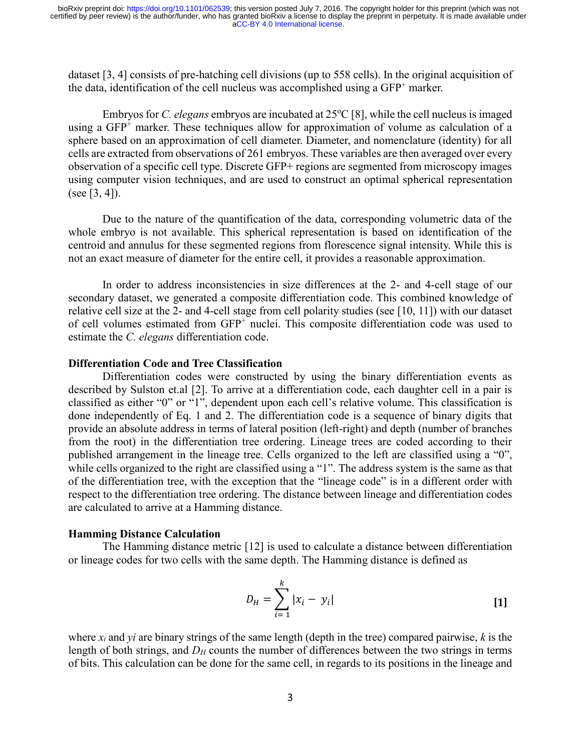dataset [3, 4] consists of pre-hatching cell divisions (up to 558 cells). In the original acquisition of the data, identification of the cell nucleus was accomplished using a  $GFP^+$  marker.

Embryos for *C. elegans* embryos are incubated at 25<sup>o</sup>C [8], while the cell nucleus is imaged using a GFP<sup>+</sup> marker. These techniques allow for approximation of volume as calculation of a sphere based on an approximation of cell diameter. Diameter, and nomenclature (identity) for all cells are extracted from observations of 261 embryos. These variables are then averaged over every observation of a specific cell type. Discrete GFP+ regions are segmented from microscopy images using computer vision techniques, and are used to construct an optimal spherical representation (see [3, 4]).

Due to the nature of the quantification of the data, corresponding volumetric data of the whole embryo is not available. This spherical representation is based on identification of the centroid and annulus for these segmented regions from florescence signal intensity. While this is not an exact measure of diameter for the entire cell, it provides a reasonable approximation.

In order to address inconsistencies in size differences at the 2- and 4-cell stage of our secondary dataset, we generated a composite differentiation code. This combined knowledge of relative cell size at the 2- and 4-cell stage from cell polarity studies (see [10, 11]) with our dataset of cell volumes estimated from GFP<sup>+</sup> nuclei. This composite differentiation code was used to estimate the *C. elegans* differentiation code.

#### **Differentiation Code and Tree Classification**

Differentiation codes were constructed by using the binary differentiation events as described by Sulston et.al [2]. To arrive at a differentiation code, each daughter cell in a pair is classified as either "0" or "1", dependent upon each cell's relative volume. This classification is done independently of Eq. 1 and 2. The differentiation code is a sequence of binary digits that provide an absolute address in terms of lateral position (left-right) and depth (number of branches from the root) in the differentiation tree ordering. Lineage trees are coded according to their published arrangement in the lineage tree. Cells organized to the left are classified using a "0", while cells organized to the right are classified using a "1". The address system is the same as that of the differentiation tree, with the exception that the "lineage code" is in a different order with respect to the differentiation tree ordering. The distance between lineage and differentiation codes are calculated to arrive at a Hamming distance.

#### **Hamming Distance Calculation**

The Hamming distance metric [12] is used to calculate a distance between differentiation or lineage codes for two cells with the same depth. The Hamming distance is defined as

$$
D_H = \sum_{i=1}^{k} |x_i - y_i|
$$
 [1]

where *xi* and *yi* are binary strings of the same length (depth in the tree) compared pairwise, *k* is the length of both strings, and  $D_H$  counts the number of differences between the two strings in terms of bits. This calculation can be done for the same cell, in regards to its positions in the lineage and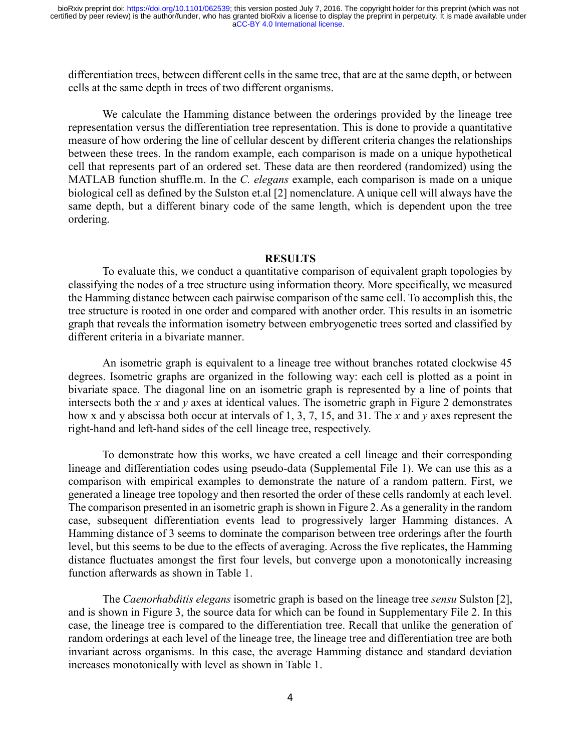differentiation trees, between different cells in the same tree, that are at the same depth, or between cells at the same depth in trees of two different organisms.

We calculate the Hamming distance between the orderings provided by the lineage tree representation versus the differentiation tree representation. This is done to provide a quantitative measure of how ordering the line of cellular descent by different criteria changes the relationships between these trees. In the random example, each comparison is made on a unique hypothetical cell that represents part of an ordered set. These data are then reordered (randomized) using the MATLAB function shuffle.m. In the *C. elegans* example, each comparison is made on a unique biological cell as defined by the Sulston et.al [2] nomenclature. A unique cell will always have the same depth, but a different binary code of the same length, which is dependent upon the tree ordering.

### **RESULTS**

To evaluate this, we conduct a quantitative comparison of equivalent graph topologies by classifying the nodes of a tree structure using information theory. More specifically, we measured the Hamming distance between each pairwise comparison of the same cell. To accomplish this, the tree structure is rooted in one order and compared with another order. This results in an isometric graph that reveals the information isometry between embryogenetic trees sorted and classified by different criteria in a bivariate manner.

An isometric graph is equivalent to a lineage tree without branches rotated clockwise 45 degrees. Isometric graphs are organized in the following way: each cell is plotted as a point in bivariate space. The diagonal line on an isometric graph is represented by a line of points that intersects both the *x* and *y* axes at identical values. The isometric graph in Figure 2 demonstrates how x and y abscissa both occur at intervals of 1, 3, 7, 15, and 31. The *x* and *y* axes represent the right-hand and left-hand sides of the cell lineage tree, respectively.

To demonstrate how this works, we have created a cell lineage and their corresponding lineage and differentiation codes using pseudo-data (Supplemental File 1). We can use this as a comparison with empirical examples to demonstrate the nature of a random pattern. First, we generated a lineage tree topology and then resorted the order of these cells randomly at each level. The comparison presented in an isometric graph is shown in Figure 2. As a generality in the random case, subsequent differentiation events lead to progressively larger Hamming distances. A Hamming distance of 3 seems to dominate the comparison between tree orderings after the fourth level, but this seems to be due to the effects of averaging. Across the five replicates, the Hamming distance fluctuates amongst the first four levels, but converge upon a monotonically increasing function afterwards as shown in Table 1.

The *Caenorhabditis elegans* isometric graph is based on the lineage tree *sensu* Sulston [2], and is shown in Figure 3, the source data for which can be found in Supplementary File 2. In this case, the lineage tree is compared to the differentiation tree. Recall that unlike the generation of random orderings at each level of the lineage tree, the lineage tree and differentiation tree are both invariant across organisms. In this case, the average Hamming distance and standard deviation increases monotonically with level as shown in Table 1.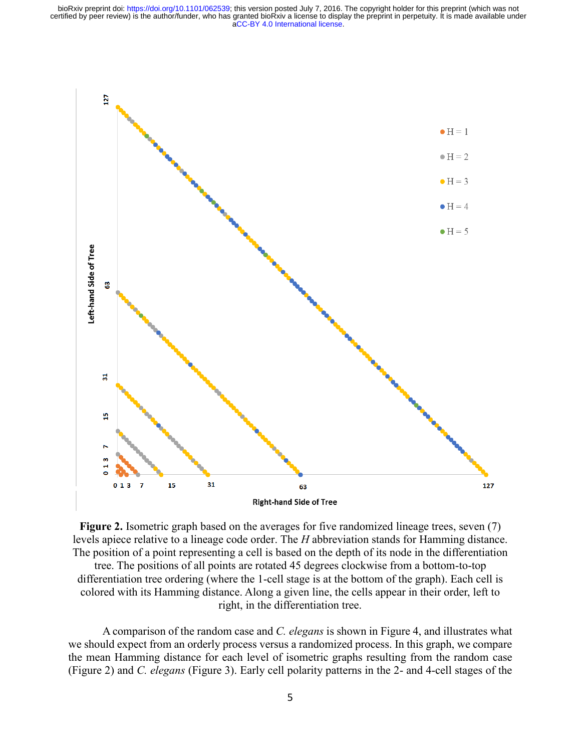

**Figure 2.** Isometric graph based on the averages for five randomized lineage trees, seven (7) levels apiece relative to a lineage code order. The *H* abbreviation stands for Hamming distance. The position of a point representing a cell is based on the depth of its node in the differentiation

tree. The positions of all points are rotated 45 degrees clockwise from a bottom-to-top differentiation tree ordering (where the 1-cell stage is at the bottom of the graph). Each cell is colored with its Hamming distance. Along a given line, the cells appear in their order, left to right, in the differentiation tree.

A comparison of the random case and *C. elegans* is shown in Figure 4, and illustrates what we should expect from an orderly process versus a randomized process. In this graph, we compare the mean Hamming distance for each level of isometric graphs resulting from the random case (Figure 2) and *C. elegans* (Figure 3). Early cell polarity patterns in the 2- and 4-cell stages of the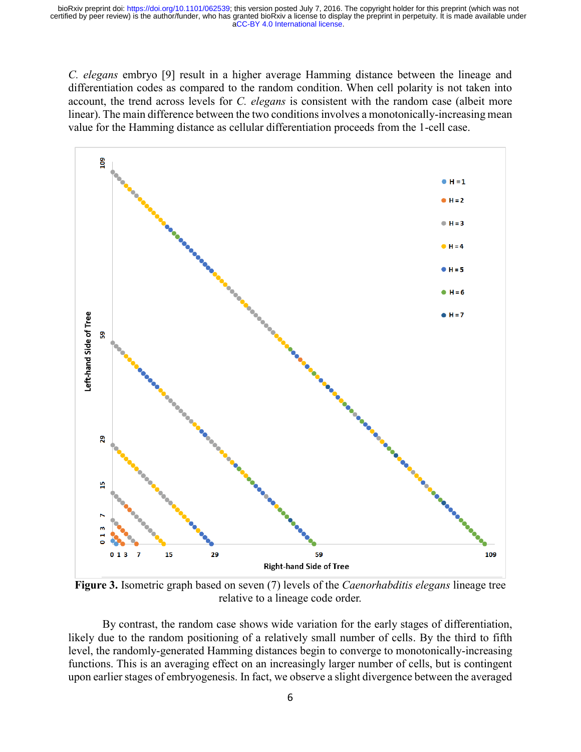*C. elegans* embryo [9] result in a higher average Hamming distance between the lineage and differentiation codes as compared to the random condition. When cell polarity is not taken into account, the trend across levels for *C. elegans* is consistent with the random case (albeit more linear). The main difference between the two conditions involves a monotonically-increasing mean value for the Hamming distance as cellular differentiation proceeds from the 1-cell case.



**Figure 3.** Isometric graph based on seven (7) levels of the *Caenorhabditis elegans* lineage tree relative to a lineage code order.

By contrast, the random case shows wide variation for the early stages of differentiation, likely due to the random positioning of a relatively small number of cells. By the third to fifth level, the randomly-generated Hamming distances begin to converge to monotonically-increasing functions. This is an averaging effect on an increasingly larger number of cells, but is contingent upon earlier stages of embryogenesis. In fact, we observe a slight divergence between the averaged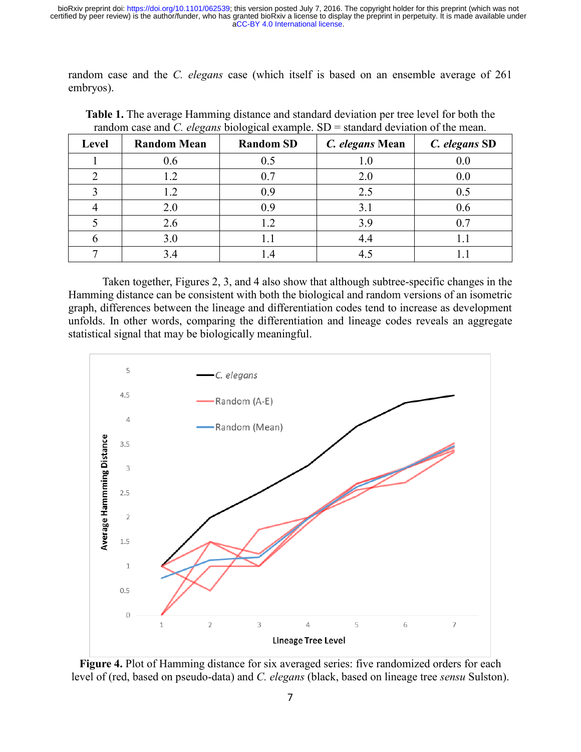random case and the *C. elegans* case (which itself is based on an ensemble average of 261 embryos).

| <b>Level</b> | ပ<br><b>Random Mean</b> | ັ<br><b>Random SD</b> | C. elegans Mean | C. elegans SD |
|--------------|-------------------------|-----------------------|-----------------|---------------|
|              | 0.6                     | 0.5                   | 1.0             | 0.0           |
|              |                         | 0.7                   | 2.0             | 0.0           |
|              | .2                      | 0.9                   | 2.5             | 0.5           |
|              | 2.0                     | 0.9                   | 3.1             | 0.6           |
|              | 2.6                     | 1.2                   | 3.9             | 0.7           |
|              | 3.0                     |                       | 4.4             |               |
|              |                         |                       |                 |               |

**Table 1.** The average Hamming distance and standard deviation per tree level for both the random case and *C. elegans* biological example. SD = standard deviation of the mean.

Taken together, Figures 2, 3, and 4 also show that although subtree-specific changes in the Hamming distance can be consistent with both the biological and random versions of an isometric graph, differences between the lineage and differentiation codes tend to increase as development unfolds. In other words, comparing the differentiation and lineage codes reveals an aggregate statistical signal that may be biologically meaningful.



**Figure 4.** Plot of Hamming distance for six averaged series: five randomized orders for each level of (red, based on pseudo-data) and *C. elegans* (black, based on lineage tree *sensu* Sulston).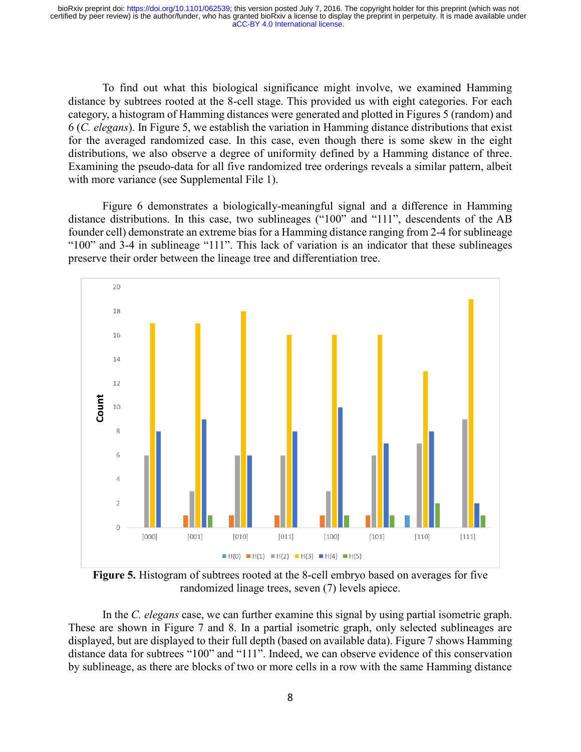To find out what this biological significance might involve, we examined Hamming distance by subtrees rooted at the 8-cell stage. This provided us with eight categories. For each category, a histogram of Hamming distances were generated and plotted in Figures 5 (random) and 6 (*C. elegans*). In Figure 5, we establish the variation in Hamming distance distributions that exist for the averaged randomized case. In this case, even though there is some skew in the eight distributions, we also observe a degree of uniformity defined by a Hamming distance of three. Examining the pseudo-data for all five randomized tree orderings reveals a similar pattern, albeit with more variance (see Supplemental File 1).

Figure 6 demonstrates a biologically-meaningful signal and a difference in Hamming distance distributions. In this case, two sublineages ("100" and "111", descendents of the AB founder cell) demonstrate an extreme bias for a Hamming distance ranging from 2-4 for sublineage "100" and 3-4 in sublineage "111". This lack of variation is an indicator that these sublineages preserve their order between the lineage tree and differentiation tree.



**Figure 5.** Histogram of subtrees rooted at the 8-cell embryo based on averages for five randomized linage trees, seven (7) levels apiece.

In the *C. elegans* case, we can further examine this signal by using partial isometric graph. These are shown in Figure 7 and 8. In a partial isometric graph, only selected sublineages are displayed, but are displayed to their full depth (based on available data). Figure 7 shows Hamming distance data for subtrees "100" and "111". Indeed, we can observe evidence of this conservation by sublineage, as there are blocks of two or more cells in a row with the same Hamming distance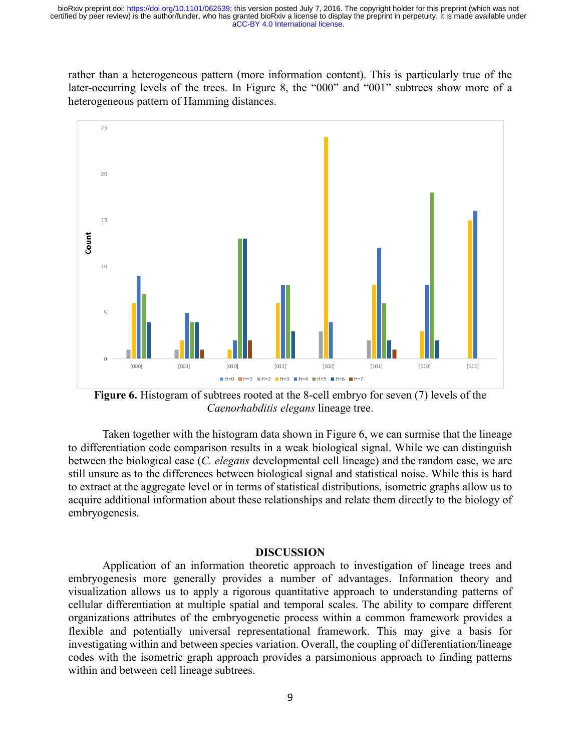rather than a heterogeneous pattern (more information content). This is particularly true of the later-occurring levels of the trees. In Figure 8, the "000" and "001" subtrees show more of a heterogeneous pattern of Hamming distances.



**Figure 6.** Histogram of subtrees rooted at the 8-cell embryo for seven (7) levels of the *Caenorhabditis elegans* lineage tree.

Taken together with the histogram data shown in Figure 6, we can surmise that the lineage to differentiation code comparison results in a weak biological signal. While we can distinguish between the biological case (*C. elegans* developmental cell lineage) and the random case, we are still unsure as to the differences between biological signal and statistical noise. While this is hard to extract at the aggregate level or in terms of statistical distributions, isometric graphs allow us to acquire additional information about these relationships and relate them directly to the biology of embryogenesis.

#### **DISCUSSION**

Application of an information theoretic approach to investigation of lineage trees and embryogenesis more generally provides a number of advantages. Information theory and visualization allows us to apply a rigorous quantitative approach to understanding patterns of cellular differentiation at multiple spatial and temporal scales. The ability to compare different organizations attributes of the embryogenetic process within a common framework provides a flexible and potentially universal representational framework. This may give a basis for investigating within and between species variation. Overall, the coupling of differentiation/lineage codes with the isometric graph approach provides a parsimonious approach to finding patterns within and between cell lineage subtrees.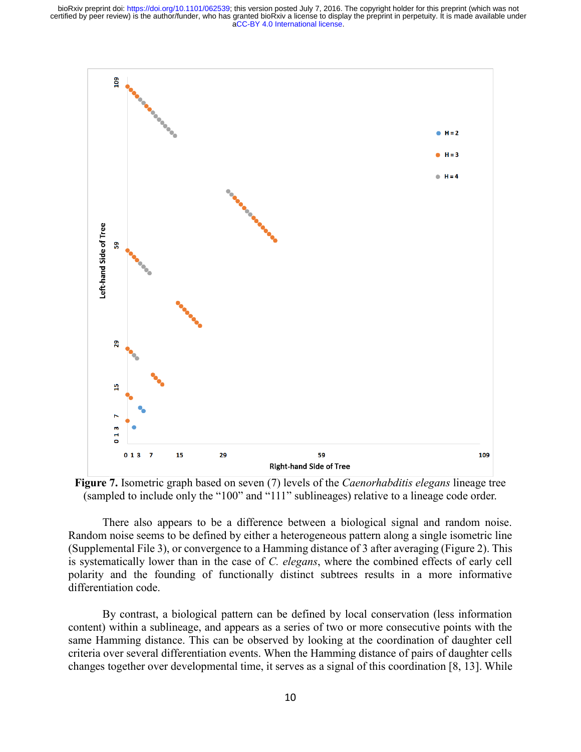



There also appears to be a difference between a biological signal and random noise. Random noise seems to be defined by either a heterogeneous pattern along a single isometric line (Supplemental File 3), or convergence to a Hamming distance of 3 after averaging (Figure 2). This is systematically lower than in the case of *C. elegans*, where the combined effects of early cell polarity and the founding of functionally distinct subtrees results in a more informative differentiation code.

By contrast, a biological pattern can be defined by local conservation (less information content) within a sublineage, and appears as a series of two or more consecutive points with the same Hamming distance. This can be observed by looking at the coordination of daughter cell criteria over several differentiation events. When the Hamming distance of pairs of daughter cells changes together over developmental time, it serves as a signal of this coordination [8, 13]. While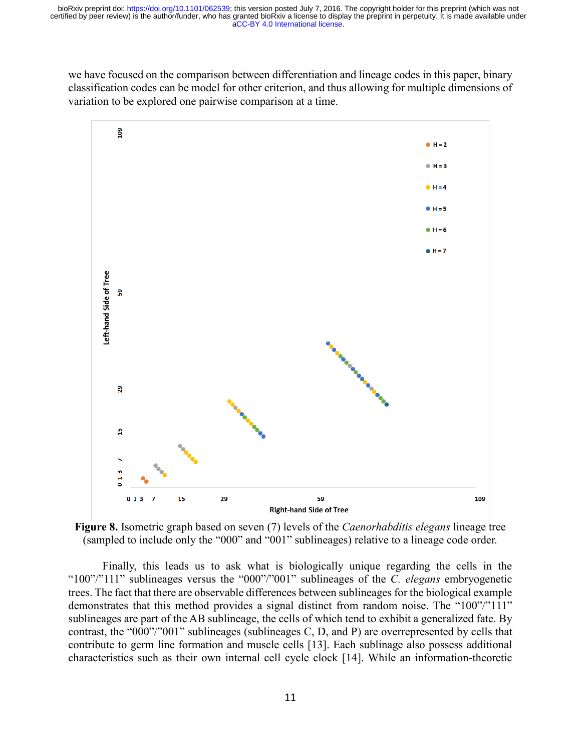we have focused on the comparison between differentiation and lineage codes in this paper, binary classification codes can be model for other criterion, and thus allowing for multiple dimensions of variation to be explored one pairwise comparison at a time.



**Figure 8.** Isometric graph based on seven (7) levels of the *Caenorhabditis elegans* lineage tree (sampled to include only the "000" and "001" sublineages) relative to a lineage code order.

Finally, this leads us to ask what is biologically unique regarding the cells in the "100"/"111" sublineages versus the "000"/"001" sublineages of the *C. elegans* embryogenetic trees. The fact that there are observable differences between sublineages for the biological example demonstrates that this method provides a signal distinct from random noise. The "100"/"111" sublineages are part of the AB sublineage, the cells of which tend to exhibit a generalized fate. By contrast, the "000"/"001" sublineages (sublineages C, D, and P) are overrepresented by cells that contribute to germ line formation and muscle cells [13]. Each sublinage also possess additional characteristics such as their own internal cell cycle clock [14]. While an information-theoretic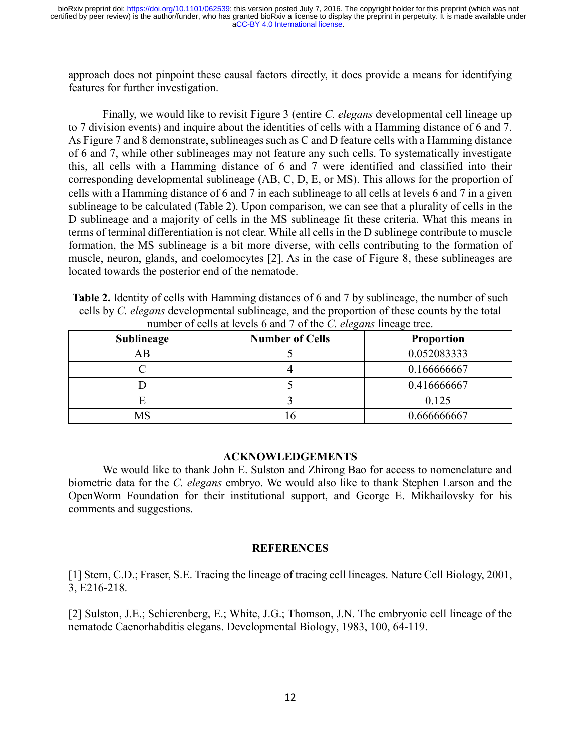approach does not pinpoint these causal factors directly, it does provide a means for identifying features for further investigation.

Finally, we would like to revisit Figure 3 (entire *C. elegans* developmental cell lineage up to 7 division events) and inquire about the identities of cells with a Hamming distance of 6 and 7. As Figure 7 and 8 demonstrate, sublineages such as C and D feature cells with a Hamming distance of 6 and 7, while other sublineages may not feature any such cells. To systematically investigate this, all cells with a Hamming distance of 6 and 7 were identified and classified into their corresponding developmental sublineage (AB, C, D, E, or MS). This allows for the proportion of cells with a Hamming distance of 6 and 7 in each sublineage to all cells at levels 6 and 7 in a given sublineage to be calculated (Table 2). Upon comparison, we can see that a plurality of cells in the D sublineage and a majority of cells in the MS sublineage fit these criteria. What this means in terms of terminal differentiation is not clear. While all cells in the D sublinege contribute to muscle formation, the MS sublineage is a bit more diverse, with cells contributing to the formation of muscle, neuron, glands, and coelomocytes [2]. As in the case of Figure 8, these sublineages are located towards the posterior end of the nematode.

**Table 2.** Identity of cells with Hamming distances of 6 and 7 by sublineage, the number of such cells by *C. elegans* developmental sublineage, and the proportion of these counts by the total number of cells at levels 6 and 7 of the *C. elegans* lineage tree.

| Sublineage | <b>Number of Cells</b> | <b>Proportion</b> |
|------------|------------------------|-------------------|
| AВ         |                        | 0.052083333       |
|            |                        | 0.166666667       |
|            |                        | 0.416666667       |
|            |                        | 0.125             |
| MS         |                        | 0.666666667       |

## **ACKNOWLEDGEMENTS**

We would like to thank John E. Sulston and Zhirong Bao for access to nomenclature and biometric data for the *C. elegans* embryo. We would also like to thank Stephen Larson and the OpenWorm Foundation for their institutional support, and George E. Mikhailovsky for his comments and suggestions.

# **REFERENCES**

[1] Stern, C.D.; Fraser, S.E. Tracing the lineage of tracing cell lineages. Nature Cell Biology, 2001, 3, E216-218.

[2] Sulston, J.E.; Schierenberg, E.; White, J.G.; Thomson, J.N. The embryonic cell lineage of the nematode Caenorhabditis elegans. Developmental Biology, 1983, 100, 64-119.